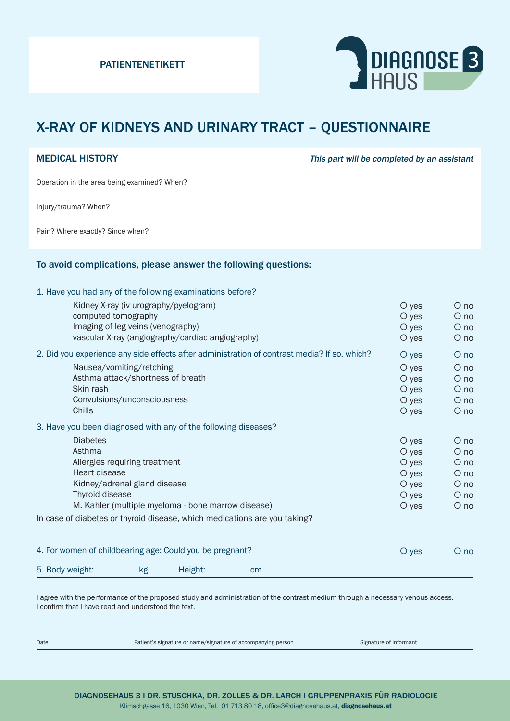

## X-RAY OF KIDNEYS AND URINARY TRACT – QUESTIONNAIRE

MEDICAL HISTORY **This part will be completed by an assistant** 

Operation in the area being examined? When?

Injury/trauma? When?

Pain? Where exactly? Since when?

#### To avoid complications, please answer the following questions:

1. Have you had any of the following examinations before?

| 5. Body weight:                                                                                                                                         | kg                                | Height:                                          | cm                                                                        |                        |                      |
|---------------------------------------------------------------------------------------------------------------------------------------------------------|-----------------------------------|--------------------------------------------------|---------------------------------------------------------------------------|------------------------|----------------------|
| 4. For women of childbearing age: Could you be pregnant?                                                                                                |                                   |                                                  |                                                                           | O yes                  | $O$ no               |
|                                                                                                                                                         |                                   |                                                  | In case of diabetes or thyroid disease, which medications are you taking? |                        |                      |
| Allergies requiring treatment<br>Heart disease<br>Kidney/adrenal gland disease<br>Thyroid disease<br>M. Kahler (multiple myeloma - bone marrow disease) |                                   |                                                  |                                                                           | $\circ$ yes            | $\circ$ no           |
|                                                                                                                                                         |                                   |                                                  |                                                                           | $\circ$ yes            | $\circ$ no           |
|                                                                                                                                                         |                                   |                                                  |                                                                           | $\circ$ yes            | $O$ no               |
|                                                                                                                                                         |                                   |                                                  |                                                                           | $\circ$ yes            | $O$ no               |
|                                                                                                                                                         |                                   |                                                  |                                                                           | $\circ$ yes            | $\circ$ no           |
| Asthma                                                                                                                                                  |                                   |                                                  |                                                                           | $\circ$ yes<br>$O$ yes | $\circ$ no<br>$O$ no |
| 3. Have you been diagnosed with any of the following diseases?<br><b>Diabetes</b>                                                                       |                                   |                                                  |                                                                           |                        |                      |
|                                                                                                                                                         |                                   |                                                  |                                                                           |                        |                      |
| Chills                                                                                                                                                  |                                   |                                                  |                                                                           | $O$ yes<br>$\circ$ yes | $O$ no<br>$\circ$ no |
| Skin rash                                                                                                                                               | Convulsions/unconsciousness       |                                                  |                                                                           | $O$ yes                | $\circ$ no           |
|                                                                                                                                                         | Asthma attack/shortness of breath |                                                  |                                                                           | $\circ$ yes            | $O$ no               |
|                                                                                                                                                         | Nausea/vomiting/retching          |                                                  |                                                                           | $O$ yes                | $O$ no               |
| 2. Did you experience any side effects after administration of contrast media? If so, which?                                                            |                                   |                                                  |                                                                           | $O$ yes                | $O$ no               |
|                                                                                                                                                         |                                   | vascular X-ray (angiography/cardiac angiography) |                                                                           | $\circ$ yes            | $\circ$ no           |
|                                                                                                                                                         | Imaging of leg veins (venography) |                                                  |                                                                           | $\circ$ yes            | $O$ no               |
| computed tomography                                                                                                                                     |                                   |                                                  |                                                                           | $\circ$ yes            | $O$ no               |
| Kidney X-ray (iv urography/pyelogram)                                                                                                                   |                                   |                                                  |                                                                           | O yes                  | $O$ no               |

I agree with the performance of the proposed study and administration of the contrast medium through a necessary venous access. I confirm that I have read and understood the text.

Date **Patient's signature or name/signature of accompanying person** Signature of informant